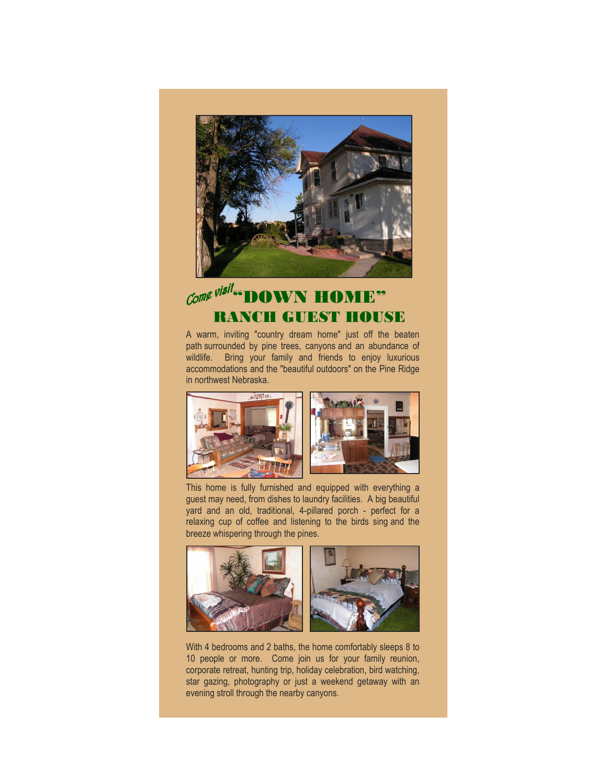

## $\mathcal{L}$ ome visit... DOWN HOME" RANCH GUEST HOUSE

A warm, inviting "country dream home" just off the beaten path surrounded by pine trees, canyons and an abundance of wildlife. Bring your family and friends to enjoy luxurious accommodations and the "beautiful outdoors" on the Pine Ridge in northwest Nebraska.



This home is fully furnished and equipped with everything a guest may need, from dishes to laundry facilities. A big beautiful yard and an old, traditional, 4-pillared porch - perfect for a relaxing cup of coffee and listening to the birds sing and the breeze whispering through the pines.

![](_page_0_Picture_5.jpeg)

With 4 bedrooms and 2 baths, the home comfortably sleeps 8 to 10 people or more. Come join us for your family reunion, corporate retreat, hunting trip, holiday celebration, bird watching, star gazing, photography or just a weekend getaway with an evening stroll through the nearby canyons.